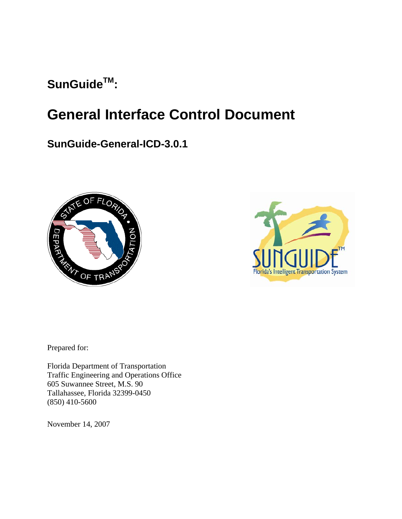# SunGuide<sup>™</sup>:

# **General Interface Control Document**

## **SunGuide-General-ICD-3.0.1**





Prepared for:

Florida Department of Transportation Traffic Engineering and Operations Office 605 Suwannee Street, M.S. 90 Tallahassee, Florida 32399-0450 (850) 410-5600

November 14, 2007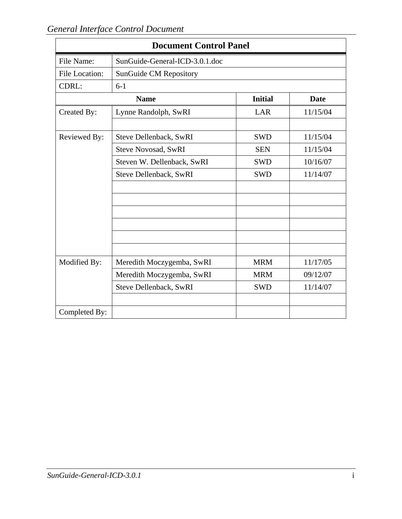| <b>Document Control Panel</b> |                                |                |             |  |  |  |  |
|-------------------------------|--------------------------------|----------------|-------------|--|--|--|--|
| File Name:                    | SunGuide-General-ICD-3.0.1.doc |                |             |  |  |  |  |
| <b>File Location:</b>         | <b>SunGuide CM Repository</b>  |                |             |  |  |  |  |
| CDRL:                         | $6 - 1$                        |                |             |  |  |  |  |
|                               | <b>Name</b>                    | <b>Initial</b> | <b>Date</b> |  |  |  |  |
| Created By:                   | Lynne Randolph, SwRI           | LAR            | 11/15/04    |  |  |  |  |
|                               |                                |                |             |  |  |  |  |
| Reviewed By:                  | Steve Dellenback, SwRI         | <b>SWD</b>     | 11/15/04    |  |  |  |  |
|                               | <b>Steve Novosad, SwRI</b>     | <b>SEN</b>     | 11/15/04    |  |  |  |  |
|                               | Steven W. Dellenback, SwRI     | <b>SWD</b>     | 10/16/07    |  |  |  |  |
|                               | Steve Dellenback, SwRI         | <b>SWD</b>     | 11/14/07    |  |  |  |  |
|                               |                                |                |             |  |  |  |  |
|                               |                                |                |             |  |  |  |  |
|                               |                                |                |             |  |  |  |  |
|                               |                                |                |             |  |  |  |  |
|                               |                                |                |             |  |  |  |  |
|                               |                                |                |             |  |  |  |  |
| Modified By:                  | Meredith Moczygemba, SwRI      | <b>MRM</b>     | 11/17/05    |  |  |  |  |
|                               | Meredith Moczygemba, SwRI      | <b>MRM</b>     | 09/12/07    |  |  |  |  |
|                               | Steve Dellenback, SwRI         | <b>SWD</b>     | 11/14/07    |  |  |  |  |
|                               |                                |                |             |  |  |  |  |
| Completed By:                 |                                |                |             |  |  |  |  |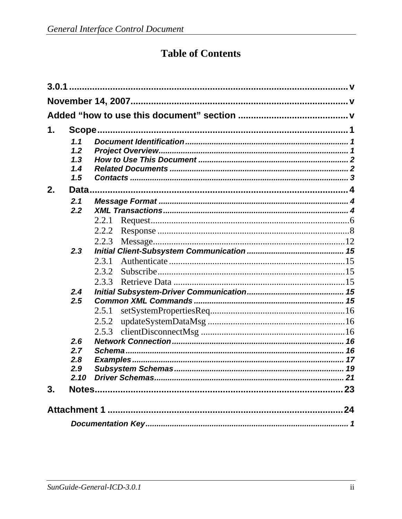# **Table of Contents**

| 1.                              |                         |  |
|---------------------------------|-------------------------|--|
| 1.1<br>1.2<br>1.3<br>1.4<br>1.5 |                         |  |
| 2.                              |                         |  |
| 2.1<br>2.2                      | 2.2.1<br>2.2.2<br>2.2.3 |  |
| 2.3                             |                         |  |
|                                 | 2.3.1<br>2.3.2<br>2.3.3 |  |
| 2.4                             |                         |  |
| 2.5                             | 2.5.1<br>2.5.2<br>2.5.3 |  |
| 2.6                             |                         |  |
| 2.7<br>2.8<br>2.9               |                         |  |
| 3.                              |                         |  |
|                                 |                         |  |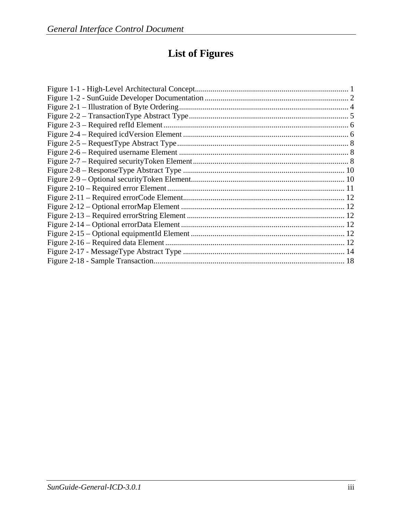# **List of Figures**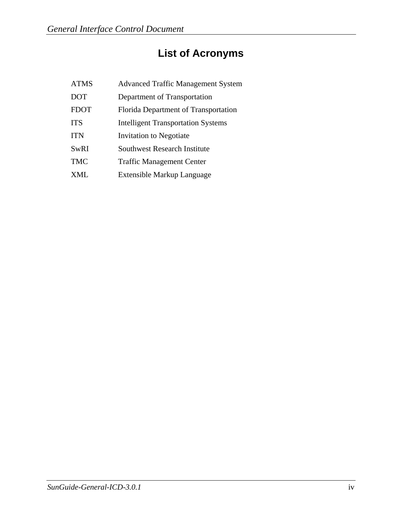# **List of Acronyms**

| <b>ATMS</b> | <b>Advanced Traffic Management System</b> |
|-------------|-------------------------------------------|
| <b>DOT</b>  | Department of Transportation              |
| <b>FDOT</b> | Florida Department of Transportation      |
| <b>ITS</b>  | <b>Intelligent Transportation Systems</b> |
| <b>ITN</b>  | Invitation to Negotiate                   |
| SwRI        | <b>Southwest Research Institute</b>       |
| <b>TMC</b>  | <b>Traffic Management Center</b>          |
| XML         | Extensible Markup Language                |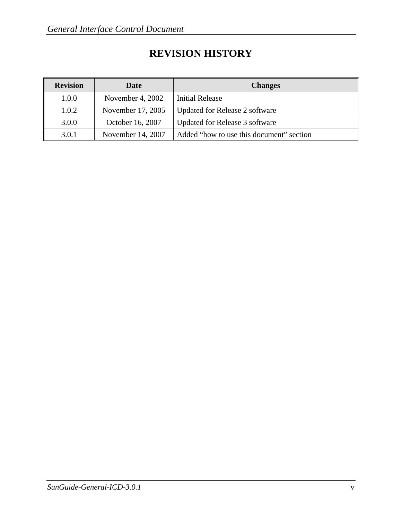# **REVISION HISTORY**

| <b>Revision</b> | Date              | <b>Changes</b>                           |
|-----------------|-------------------|------------------------------------------|
| 1.0.0           | November 4, 2002  | Initial Release                          |
| 1.0.2           | November 17, 2005 | Updated for Release 2 software           |
| 3.0.0           | October 16, 2007  | Updated for Release 3 software           |
| 3.0.1           | November 14, 2007 | Added "how to use this document" section |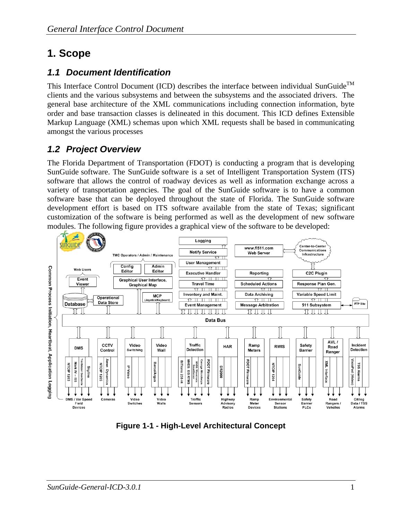# **1. Scope**

### *1.1 Document Identification*

This Interface Control Document (ICD) describes the interface between individual SunGuide<sup>TM</sup> clients and the various subsystems and between the subsystems and the associated drivers. The general base architecture of the XML communications including connection information, byte order and base transaction classes is delineated in this document. This ICD defines Extensible Markup Language (XML) schemas upon which XML requests shall be based in communicating amongst the various processes

### *1.2 Project Overview*

The Florida Department of Transportation (FDOT) is conducting a program that is developing SunGuide software. The SunGuide software is a set of Intelligent Transportation System (ITS) software that allows the control of roadway devices as well as information exchange across a variety of transportation agencies. The goal of the SunGuide software is to have a common software base that can be deployed throughout the state of Florida. The SunGuide software development effort is based on ITS software available from the state of Texas; significant customization of the software is being performed as well as the development of new software modules. The following figure provides a graphical view of the software to be developed:



**Figure 1-1 - High-Level Architectural Concept**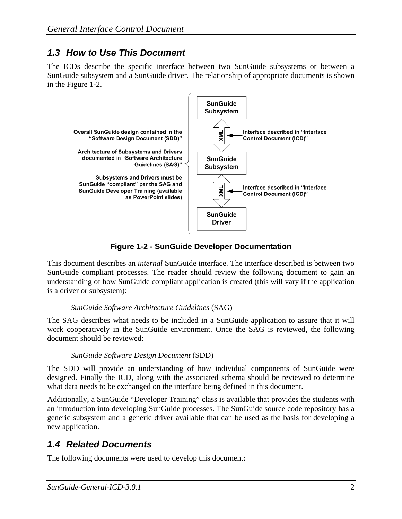### *1.3 How to Use This Document*

The ICDs describe the specific interface between two SunGuide subsystems or between a SunGuide subsystem and a SunGuide driver. The relationship of appropriate documents is shown in the Figure 1-2.



**Figure 1-2 - SunGuide Developer Documentation** 

This document describes an *internal* SunGuide interface. The interface described is between two SunGuide compliant processes. The reader should review the following document to gain an understanding of how SunGuide compliant application is created (this will vary if the application is a driver or subsystem):

### *SunGuide Software Architecture Guidelines* (SAG)

The SAG describes what needs to be included in a SunGuide application to assure that it will work cooperatively in the SunGuide environment. Once the SAG is reviewed, the following document should be reviewed:

### *SunGuide Software Design Document* (SDD)

The SDD will provide an understanding of how individual components of SunGuide were designed. Finally the ICD, along with the associated schema should be reviewed to determine what data needs to be exchanged on the interface being defined in this document.

Additionally, a SunGuide "Developer Training" class is available that provides the students with an introduction into developing SunGuide processes. The SunGuide source code repository has a generic subsystem and a generic driver available that can be used as the basis for developing a new application.

### *1.4 Related Documents*

The following documents were used to develop this document: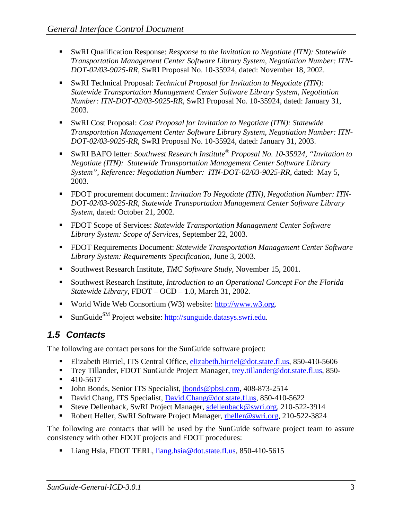- SwRI Qualification Response: *Response to the Invitation to Negotiate (ITN): Statewide Transportation Management Center Software Library System, Negotiation Number: ITN-DOT-02/03-9025-RR,* SwRI Proposal No. 10-35924, dated: November 18, 2002.
- SwRI Technical Proposal: *Technical Proposal for Invitation to Negotiate (ITN)*: *Statewide Transportation Management Center Software Library System, Negotiation Number: ITN-DOT-02/03-9025-RR,* SwRI Proposal No. 10-35924, dated: January 31, 2003.
- SwRI Cost Proposal: *Cost Proposal for Invitation to Negotiate (ITN): Statewide Transportation Management Center Software Library System, Negotiation Number: ITN-DOT-02/03-9025-RR,* SwRI Proposal No. 10-35924, dated: January 31, 2003.
- SwRI BAFO letter: *Southwest Research Institute® Proposal No. 10-35924, "Invitation to Negotiate (ITN): Statewide Transportation Management Center Software Library System", Reference: Negotiation Number: ITN-DOT-02/03-9025-RR*, dated: May 5, 2003.
- FDOT procurement document: *Invitation To Negotiate (ITN), Negotiation Number: ITN DOT-02/03-9025-RR, Statewide Transportation Management Center Software Library System*, dated: October 21, 2002.
- FDOT Scope of Services: *Statewide Transportation Management Center Software Library System: Scope of Services,* September 22, 2003.
- FDOT Requirements Document: *Statewide Transportation Management Center Software Library System: Requirements Specification,* June 3, 2003.
- Southwest Research Institute, *TMC Software Study*, November 15, 2001.
- Southwest Research Institute, *Introduction to an Operational Concept For the Florida Statewide Library*, FDOT – OCD – 1.0, March 31, 2002.
- World Wide Web Consortium (W3) website:  $\frac{http://www.w3.org.}{http://www.w3.org.}$
- SunGuide<sup>SM</sup> Project website: http://sunguide.datasys.swri.edu.

### *1.5 Contacts*

The following are contact persons for the SunGuide software project:

- Elizabeth Birriel, ITS Central Office, elizabeth.birriel@dot.state.fl.us, 850-410-5606
- Trey Tillander, FDOT SunGuide Project Manager, trey.tillander@dot.state.fl.us, 850-
- $-410-5617$
- **John Bonds, Senior ITS Specialist, jbonds@pbsj.com, 408-873-2514**
- David Chang, ITS Specialist, David.Chang@dot.state.fl.us, 850-410-5622
- Steve Dellenback, SwRI Project Manager, sdellenback@swri.org, 210-522-3914
- Robert Heller, SwRI Software Project Manager, rheller@swri.org, 210-522-3824

The following are contacts that will be used by the SunGuide software project team to assure consistency with other FDOT projects and FDOT procedures:

Liang Hsia, FDOT TERL, liang.hsia@dot.state.fl.us, 850-410-5615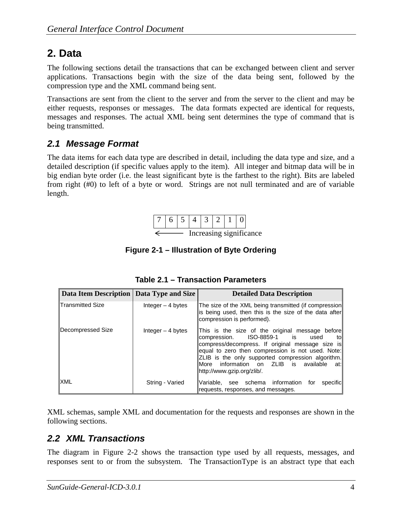# **2. Data**

The following sections detail the transactions that can be exchanged between client and server applications. Transactions begin with the size of the data being sent, followed by the compression type and the XML command being sent.

Transactions are sent from the client to the server and from the server to the client and may be either requests, responses or messages. The data formats expected are identical for requests, messages and responses. The actual XML being sent determines the type of command that is being transmitted.

### *2.1 Message Format*

The data items for each data type are described in detail, including the data type and size, and a detailed description (if specific values apply to the item). All integer and bitmap data will be in big endian byte order (i.e. the least significant byte is the farthest to the right). Bits are labeled from right (#0) to left of a byte or word. Strings are not null terminated and are of variable length.



**Figure 2-1 – Illustration of Byte Ordering** 

| Data Item Description   Data Type and Size |                    | <b>Detailed Data Description</b>                                                                                                                                                                                                                                                                                                                 |
|--------------------------------------------|--------------------|--------------------------------------------------------------------------------------------------------------------------------------------------------------------------------------------------------------------------------------------------------------------------------------------------------------------------------------------------|
| <b>Transmitted Size</b>                    | Integer $-4$ bytes | The size of the XML being transmitted (if compression)<br>is being used, then this is the size of the data after<br>compression is performed).                                                                                                                                                                                                   |
| Decompressed Size                          | Integer $-4$ bytes | This is the size of the original message before<br>compression. ISO-8859-1 is<br>used<br>to<br>compress/decompress. If original message size is<br>equal to zero then compression is not used. Note:<br>ZLIB is the only supported compression algorithm.<br>information on ZLIB<br>is<br>available<br>More<br>at:<br>http://www.gzip.org/zlib/. |
| <b>XML</b>                                 | String - Varied    | see schema information<br>Variable.<br>specific<br>for<br>requests, responses, and messages.                                                                                                                                                                                                                                                     |

**Table 2.1 – Transaction Parameters** 

XML schemas, sample XML and documentation for the requests and responses are shown in the following sections.

### *2.2 XML Transactions*

The diagram in Figure 2-2 shows the transaction type used by all requests, messages, and responses sent to or from the subsystem. The TransactionType is an abstract type that each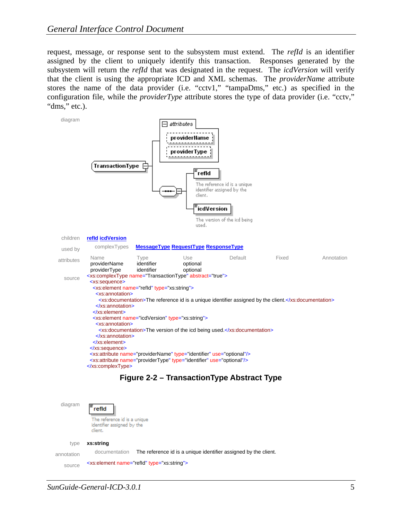request, message, or response sent to the subsystem must extend. The *refId* is an identifier assigned by the client to uniquely identify this transaction. Responses generated by the subsystem will return the *refId* that was designated in the request. The *icdVersion* will verify that the client is using the appropriate ICD and XML schemas. The *providerName* attribute stores the name of the data provider (i.e. "cctv1," "tampaDms," etc.) as specified in the configuration file, while the *providerType* attribute stores the type of data provider (i.e. "cctv," "dms," etc.).



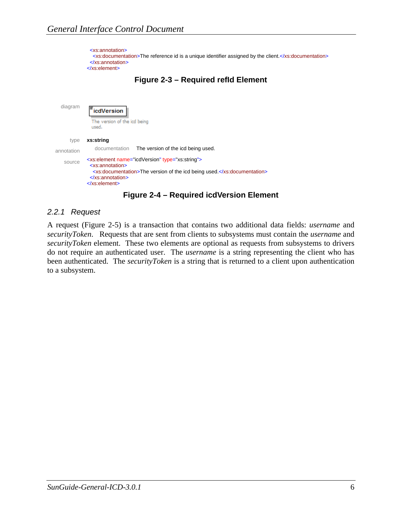



**Figure 2-4 – Required icdVersion Element** 

### *2.2.1 Request*

A request (Figure 2-5) is a transaction that contains two additional data fields: *username* and *securityToken*. Requests that are sent from clients to subsystems must contain the *username* and *securityToken* element. These two elements are optional as requests from subsystems to drivers do not require an authenticated user. The *username* is a string representing the client who has been authenticated. The *securityToken* is a string that is returned to a client upon authentication to a subsystem.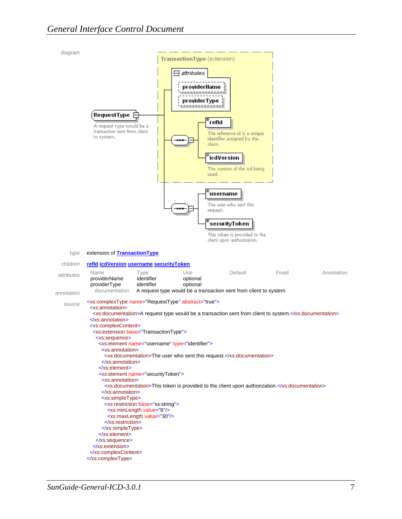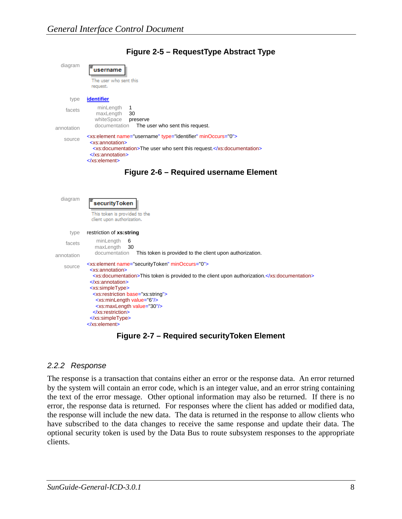

### **Figure 2-5 – RequestType Abstract Type**

**Figure 2-7 – Required securityToken Element** 

#### *2.2.2 Response*

The response is a transaction that contains either an error or the response data. An error returned by the system will contain an error code, which is an integer value, and an error string containing the text of the error message. Other optional information may also be returned. If there is no error, the response data is returned. For responses where the client has added or modified data, the response will include the new data. The data is returned in the response to allow clients who have subscribed to the data changes to receive the same response and update their data. The optional security token is used by the Data Bus to route subsystem responses to the appropriate clients.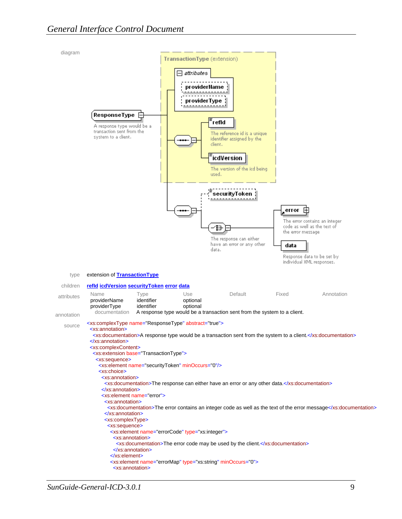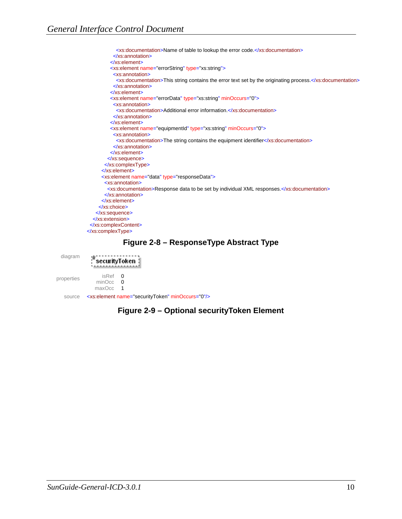```
<xs:documentation>Name of table to lookup the error code.</xs:documentation>
           </xs:annotation>
          </xs:element>
          <xs:element name="errorString" type="xs:string">
           <xs:annotation>
            <xs:documentation>This string contains the error text set by the originating process.</xs:documentation>
           </xs:annotation>
          </xs:element>
          <xs:element name="errorData" type="xs:string" minOccurs="0">
           <xs:annotation>
             <xs:documentation>Additional error information.</xs:documentation>
           </xs:annotation>
          </xs:element>
          <xs:element name="equipmentId" type="xs:string" minOccurs="0">
           <xs:annotation>
            <xs:documentation>The string contains the equipment identifier</xs:documentation>
           </xs:annotation>
          </xs:element>
         </xs:sequence>
        </xs:complexType>
       </xs:element>
       <xs:element name="data" type="responseData">
        <xs:annotation>
        <xs:documentation>Response data to be set by individual XML responses.</xs:documentation>
        </xs:annotation>
       </xs:element>
     </xs:choice>
    </xs:sequence>
   </xs:extension>
  </xs:complexContent>
</xs:complexType>
```
### **Figure 2-8 – ResponseType Abstract Type**

diagram securityToken { properties isRef 0<br>minOcc 0 minOcc 0 maxOcc 1

source <xs:element name="securityToken" minOccurs="0"/>

### **Figure 2-9 – Optional securityToken Element**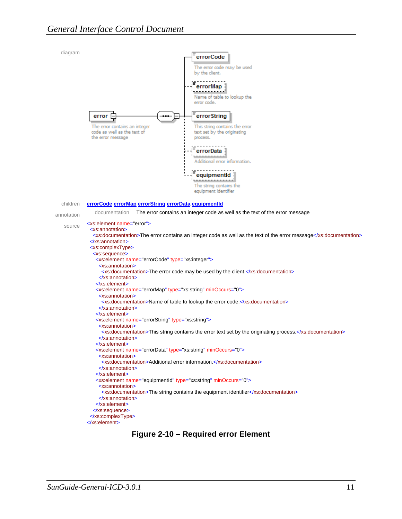

**Figure 2-10 – Required error Element**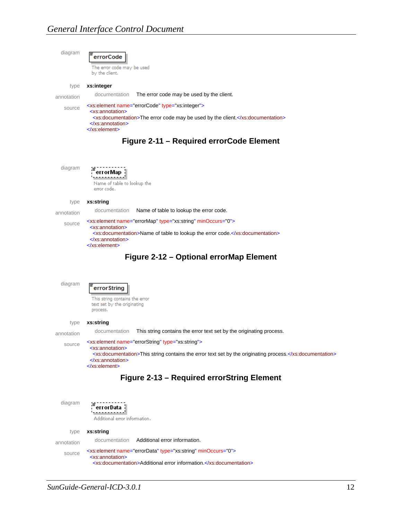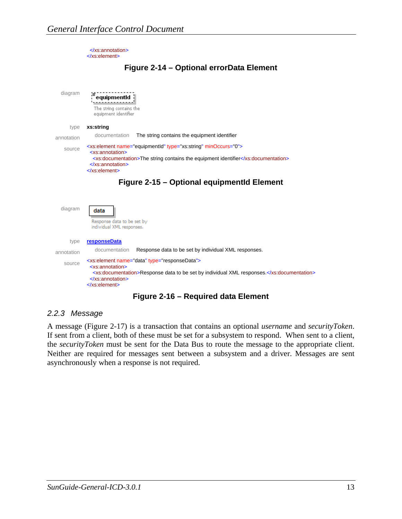</xs:annotation> </xs:element>

| Figure 2-14 - Optional errorData Element |  |  |
|------------------------------------------|--|--|
|                                          |  |  |

| diagram    | equipmentId<br>The string contains the<br>equipment identifier                                                                                                                                                                          |
|------------|-----------------------------------------------------------------------------------------------------------------------------------------------------------------------------------------------------------------------------------------|
| type       | xs:string                                                                                                                                                                                                                               |
| annotation | The string contains the equipment identifier<br>documentation                                                                                                                                                                           |
| source     | <xs:element minoccurs="0" name="equipmentid" type="xs:string"></xs:element>                                                                                                                                                             |
|            | <xs:annotation><br/><xs:documentation>The string contains the equipment identifier</xs:documentation><br/><math>\le</math>/xs:annotation&gt;<br/><math>\langle</math>xs:element&gt;</xs:annotation>                                     |
|            | Figure 2-15 – Optional equipmentid Element                                                                                                                                                                                              |
| diagram    | data<br>Response data to be set by<br>individual XML responses.                                                                                                                                                                         |
| type       | responseData                                                                                                                                                                                                                            |
| annotation | Response data to be set by individual XML responses.<br>documentation                                                                                                                                                                   |
| source     | <xs:element name="data" type="responseData"><br/><xs:annotation><br/><xs:documentation>Response data to be set by individual XML responses.</xs:documentation><br/><math>\le</math>/xs:annotation&gt;<br/></xs:annotation></xs:element> |

#### **Figure 2-16 – Required data Element**

#### *2.2.3 Message*

A message (Figure 2-17) is a transaction that contains an optional *username* and *securityToken*. If sent from a client, both of these must be set for a subsystem to respond. When sent to a client, the *securityToken* must be sent for the Data Bus to route the message to the appropriate client. Neither are required for messages sent between a subsystem and a driver. Messages are sent asynchronously when a response is not required.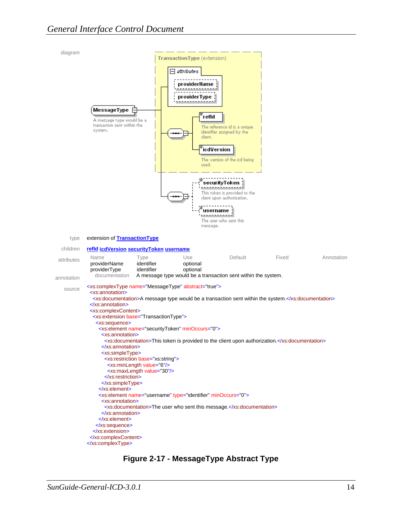

**Figure 2-17 - MessageType Abstract Type**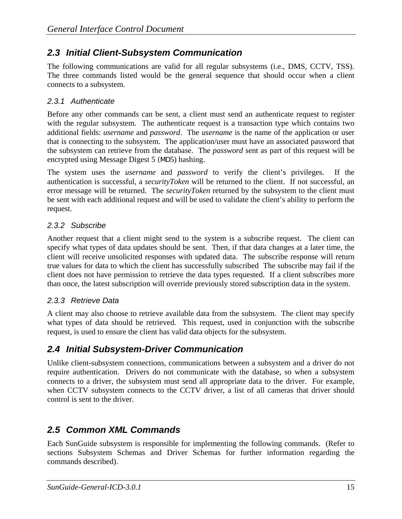### *2.3 Initial Client-Subsystem Communication*

The following communications are valid for all regular subsystems (i.e., DMS, CCTV, TSS). The three commands listed would be the general sequence that should occur when a client connects to a subsystem.

### *2.3.1 Authenticate*

Before any other commands can be sent, a client must send an authenticate request to register with the regular subsystem. The authenticate request is a transaction type which contains two additional fields: *username* and *password*. The *username* is the name of the application or user that is connecting to the subsystem. The application/user must have an associated password that the subsystem can retrieve from the database. The *password* sent as part of this request will be encrypted using Message Digest 5 (MD5) hashing.

The system uses the *username* and *password* to verify the client's privileges. If the authentication is successful, a *securityToken* will be returned to the client. If not successful, an error message will be returned. The *securityToken* returned by the subsystem to the client must be sent with each additional request and will be used to validate the client's ability to perform the request.

### *2.3.2 Subscribe*

Another request that a client might send to the system is a subscribe request. The client can specify what types of data updates should be sent. Then, if that data changes at a later time, the client will receive unsolicited responses with updated data. The subscribe response will return true values for data to which the client has successfully subscribed The subscribe may fail if the client does not have permission to retrieve the data types requested. If a client subscribes more than once, the latest subscription will override previously stored subscription data in the system.

### *2.3.3 Retrieve Data*

A client may also choose to retrieve available data from the subsystem. The client may specify what types of data should be retrieved. This request, used in conjunction with the subscribe request, is used to ensure the client has valid data objects for the subsystem.

### *2.4 Initial Subsystem-Driver Communication*

Unlike client-subsystem connections, communications between a subsystem and a driver do not require authentication. Drivers do not communicate with the database, so when a subsystem connects to a driver, the subsystem must send all appropriate data to the driver. For example, when CCTV subsystem connects to the CCTV driver, a list of all cameras that driver should control is sent to the driver.

### *2.5 Common XML Commands*

Each SunGuide subsystem is responsible for implementing the following commands. (Refer to sections Subsystem Schemas and Driver Schemas for further information regarding the commands described).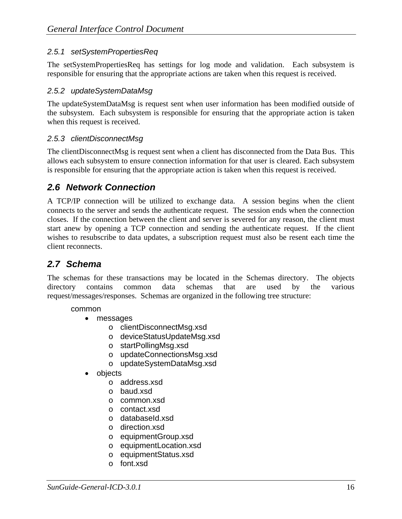### *2.5.1 setSystemPropertiesReq*

The setSystemPropertiesReq has settings for log mode and validation. Each subsystem is responsible for ensuring that the appropriate actions are taken when this request is received.

#### *2.5.2 updateSystemDataMsg*

The updateSystemDataMsg is request sent when user information has been modified outside of the subsystem. Each subsystem is responsible for ensuring that the appropriate action is taken when this request is received.

### *2.5.3 clientDisconnectMsg*

The clientDisconnectMsg is request sent when a client has disconnected from the Data Bus. This allows each subsystem to ensure connection information for that user is cleared. Each subsystem is responsible for ensuring that the appropriate action is taken when this request is received.

### *2.6 Network Connection*

A TCP/IP connection will be utilized to exchange data. A session begins when the client connects to the server and sends the authenticate request. The session ends when the connection closes. If the connection between the client and server is severed for any reason, the client must start anew by opening a TCP connection and sending the authenticate request. If the client wishes to resubscribe to data updates, a subscription request must also be resent each time the client reconnects.

### *2.7 Schema*

The schemas for these transactions may be located in the Schemas directory. The objects directory contains common data schemas that are used by the various request/messages/responses. Schemas are organized in the following tree structure:

#### common

- messages
	- o clientDisconnectMsg.xsd
	- o deviceStatusUpdateMsg.xsd
	- o startPollingMsg.xsd
	- o updateConnectionsMsg.xsd
	- o updateSystemDataMsg.xsd
- objects
	- o address.xsd
	- o baud.xsd
	- o common.xsd
	- o contact.xsd
	- o databaseId.xsd
	- o direction.xsd
	- o equipmentGroup.xsd
	- o equipmentLocation.xsd
	- o equipmentStatus.xsd
	- o font.xsd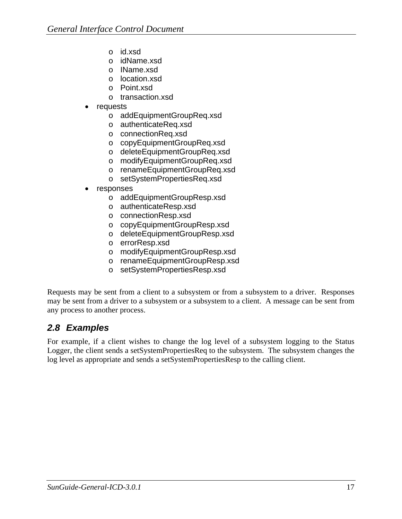- o id.xsd
- o idName.xsd
- o IName.xsd
- o location.xsd
- o Point.xsd
- o transaction.xsd
- **requests** 
	- o addEquipmentGroupReq.xsd
	- o authenticateReq.xsd
	- o connectionReq.xsd
	- o copyEquipmentGroupReq.xsd
	- o deleteEquipmentGroupReq.xsd
	- o modifyEquipmentGroupReq.xsd
	- o renameEquipmentGroupReq.xsd
	- o setSystemPropertiesReq.xsd
- **responses** 
	- o addEquipmentGroupResp.xsd
	- o authenticateResp.xsd
	- o connectionResp.xsd
	- o copyEquipmentGroupResp.xsd
	- o deleteEquipmentGroupResp.xsd
	- o errorResp.xsd
	- o modifyEquipmentGroupResp.xsd
	- o renameEquipmentGroupResp.xsd
	- o setSystemPropertiesResp.xsd

Requests may be sent from a client to a subsystem or from a subsystem to a driver. Responses may be sent from a driver to a subsystem or a subsystem to a client. A message can be sent from any process to another process.

### *2.8 Examples*

For example, if a client wishes to change the log level of a subsystem logging to the Status Logger, the client sends a setSystemPropertiesReq to the subsystem. The subsystem changes the log level as appropriate and sends a setSystemPropertiesResp to the calling client.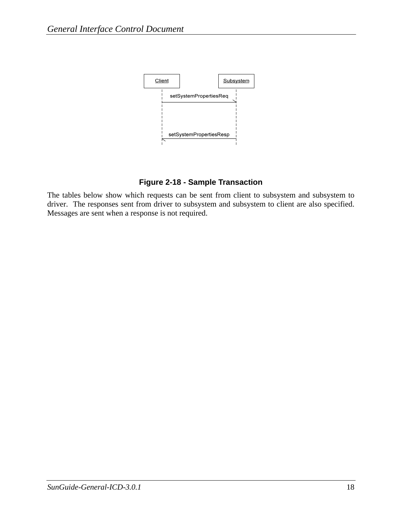

### **Figure 2-18 - Sample Transaction**

The tables below show which requests can be sent from client to subsystem and subsystem to driver. The responses sent from driver to subsystem and subsystem to client are also specified. Messages are sent when a response is not required.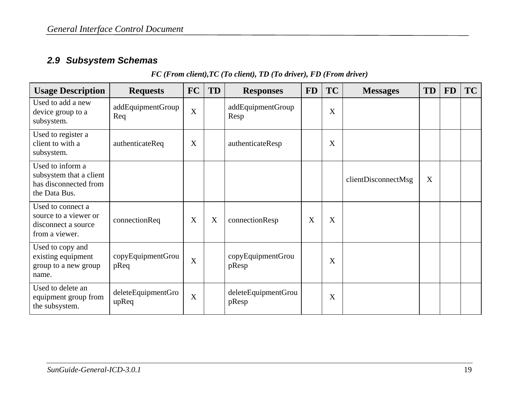### *2.9 Subsystem Schemas*

### *FC (From client),TC (To client), TD (To driver), FD (From driver)*

| <b>Usage Description</b>                                                              | <b>Requests</b>             | <b>FC</b>                 | TD | <b>Responses</b>             | <b>FD</b> | <b>TC</b> | <b>Messages</b>     | <b>TD</b> | <b>FD</b> | <b>TC</b> |
|---------------------------------------------------------------------------------------|-----------------------------|---------------------------|----|------------------------------|-----------|-----------|---------------------|-----------|-----------|-----------|
| Used to add a new<br>device group to a<br>subsystem.                                  | addEquipmentGroup<br>Req    | $\overline{X}$            |    | addEquipmentGroup<br>Resp    |           | X         |                     |           |           |           |
| Used to register a<br>client to with a<br>subsystem.                                  | authenticateReq             | X                         |    | authenticateResp             |           | X         |                     |           |           |           |
| Used to inform a<br>subsystem that a client<br>has disconnected from<br>the Data Bus. |                             |                           |    |                              |           |           | clientDisconnectMsg | X         |           |           |
| Used to connect a<br>source to a viewer or<br>disconnect a source<br>from a viewer.   | connectionReq               | X                         | X  | connectionResp               | X         | X         |                     |           |           |           |
| Used to copy and<br>existing equipment<br>group to a new group<br>name.               | copyEquipmentGrou<br>pReq   | $\boldsymbol{\mathrm{X}}$ |    | copyEquipmentGrou<br>pResp   |           | X         |                     |           |           |           |
| Used to delete an<br>equipment group from<br>the subsystem.                           | deleteEquipmentGro<br>upReq | X                         |    | deleteEquipmentGrou<br>pResp |           | X         |                     |           |           |           |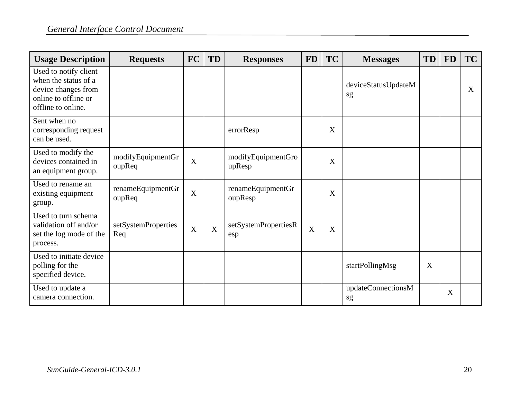| <b>Usage Description</b>                                                                                           | <b>Requests</b>             | <b>FC</b>                 | <b>TD</b> | <b>Responses</b>             | <b>FD</b> | <b>TC</b> | <b>Messages</b>           | <b>TD</b> | <b>FD</b> | <b>TC</b> |
|--------------------------------------------------------------------------------------------------------------------|-----------------------------|---------------------------|-----------|------------------------------|-----------|-----------|---------------------------|-----------|-----------|-----------|
| Used to notify client<br>when the status of a<br>device changes from<br>online to offline or<br>offline to online. |                             |                           |           |                              |           |           | deviceStatusUpdateM<br>sg |           |           | X         |
| Sent when no<br>corresponding request<br>can be used.                                                              |                             |                           |           | errorResp                    |           | X         |                           |           |           |           |
| Used to modify the<br>devices contained in<br>an equipment group.                                                  | modifyEquipmentGr<br>oupReq | X                         |           | modifyEquipmentGro<br>upResp |           | X         |                           |           |           |           |
| Used to rename an<br>existing equipment<br>group.                                                                  | renameEquipmentGr<br>oupReq | $\boldsymbol{\mathrm{X}}$ |           | renameEquipmentGr<br>oupResp |           | X         |                           |           |           |           |
| Used to turn schema<br>validation off and/or<br>set the log mode of the<br>process.                                | setSystemProperties<br>Req  | X                         | X         | setSystemPropertiesR<br>esp  | X         | X         |                           |           |           |           |
| Used to initiate device<br>polling for the<br>specified device.                                                    |                             |                           |           |                              |           |           | startPollingMsg           | X         |           |           |
| Used to update a<br>camera connection.                                                                             |                             |                           |           |                              |           |           | updateConnectionsM<br>sg  |           | X         |           |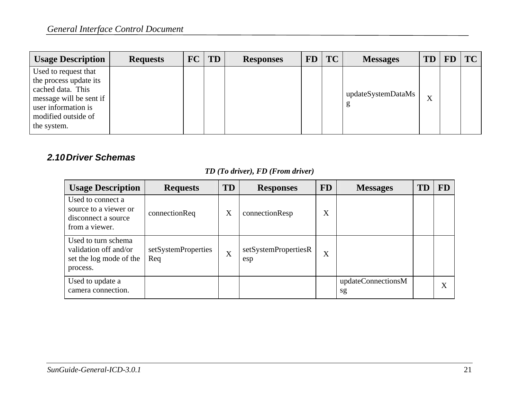| <b>Usage Description</b>                                                                                                                                    | <b>Requests</b> | FC | <b>TD</b> | <b>Responses</b> | <b>FD</b> | <b>TC</b> | <b>Messages</b>         | <b>TD</b> | <b>FD</b> | <b>TC</b> |
|-------------------------------------------------------------------------------------------------------------------------------------------------------------|-----------------|----|-----------|------------------|-----------|-----------|-------------------------|-----------|-----------|-----------|
| Used to request that<br>the process update its<br>cached data. This<br>message will be sent if<br>user information is<br>modified outside of<br>the system. |                 |    |           |                  |           |           | updateSystemDataMs<br>g | X         |           |           |

### *2.10 Driver Schemas*

| <b>Usage Description</b>                                                            | <b>Requests</b>            | TD | <b>Responses</b>            | <b>FD</b> | <b>Messages</b>          | TD | FD |
|-------------------------------------------------------------------------------------|----------------------------|----|-----------------------------|-----------|--------------------------|----|----|
| Used to connect a<br>source to a viewer or<br>disconnect a source<br>from a viewer. | connectionReq              | X  | connectionResp              | X         |                          |    |    |
| Used to turn schema<br>validation off and/or<br>set the log mode of the<br>process. | setSystemProperties<br>Req | X  | setSystemPropertiesR<br>esp | X         |                          |    |    |
| Used to update a<br>camera connection.                                              |                            |    |                             |           | updateConnectionsM<br>sg |    | X  |

### *TD (To driver), FD (From driver)*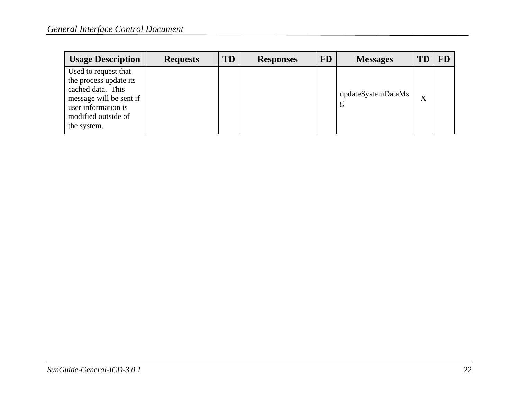| <b>Usage Description</b>                                                                                                                                    | <b>Requests</b> | <b>TD</b> | <b>Responses</b> | <b>FD</b> | <b>Messages</b>         | TD | <b>FD</b> |
|-------------------------------------------------------------------------------------------------------------------------------------------------------------|-----------------|-----------|------------------|-----------|-------------------------|----|-----------|
| Used to request that<br>the process update its<br>cached data. This<br>message will be sent if<br>user information is<br>modified outside of<br>the system. |                 |           |                  |           | updateSystemDataMs<br>g | X  |           |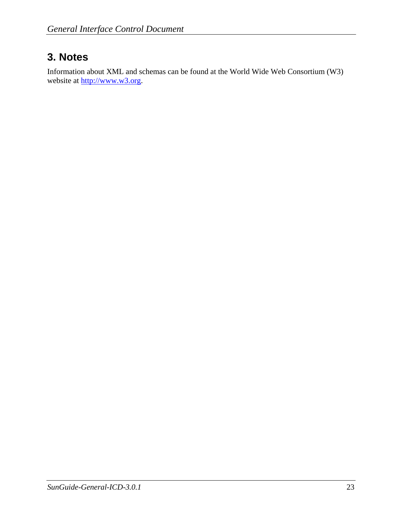# **3. Notes**

Information about XML and schemas can be found at the World Wide Web Consortium (W3) website at http://www.w3.org.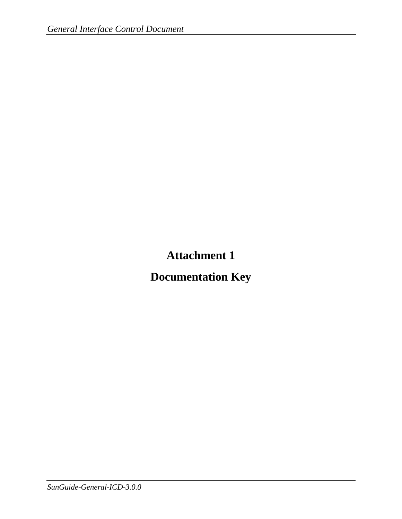**Attachment 1 Documentation Key**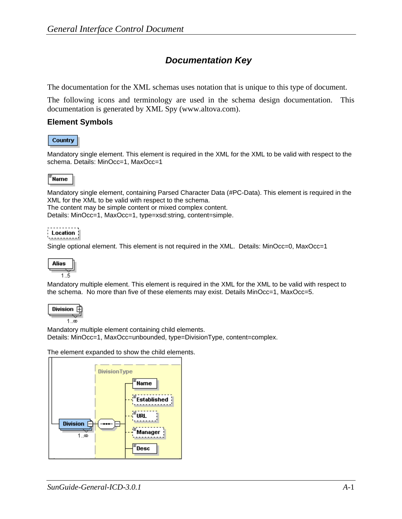### *Documentation Key*

The documentation for the XML schemas uses notation that is unique to this type of document.

The following icons and terminology are used in the schema design documentation. This documentation is generated by XML Spy (www.altova.com).

#### **Element Symbols**

#### Country

Mandatory single element. This element is required in the XML for the XML to be valid with respect to the schema. Details: MinOcc=1, MaxOcc=1

#### **Name**

Mandatory single element, containing Parsed Character Data (#PC-Data). This element is required in the XML for the XML to be valid with respect to the schema. The content may be simple content or mixed complex content.

Details: MinOcc=1, MaxOcc=1, type=xsd:string, content=simple.

### $\frac{1}{2}$  Location  $\frac{1}{2}$

Single optional element. This element is not required in the XML. Details: MinOcc=0, MaxOcc=1

Mandatory multiple element. This element is required in the XML for the XML to be valid with respect to the schema. No more than five of these elements may exist. Details MinOcc=1, MaxOcc=5.

$$
\overbrace{\qquad \qquad }^{\text{Division}}\\
$$

 $1 \cdot \infty$ Mandatory multiple element containing child elements. Details: MinOcc=1, MaxOcc=unbounded, type=DivisionType, content=complex.

The element expanded to show the child elements.

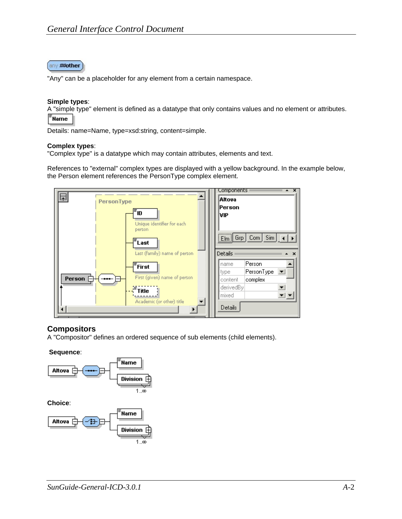#### any ##other

"Any" can be a placeholder for any element from a certain namespace.

#### **Simple types**:

A "simple type" element is defined as a datatype that only contains values and no element or attributes. .<br>Name

Details: name=Name, type=xsd:string, content=simple.

#### **Complex types**:

"Complex type" is a datatype which may contain attributes, elements and text.

References to "external" complex types are displayed with a yellow background. In the example below, the Person element references the PersonType complex element.



#### **Compositors**

A "Compositor" defines an ordered sequence of sub elements (child elements).

#### **Sequence**:

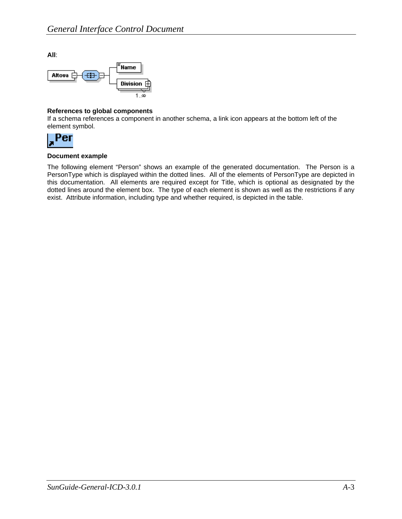**All**:



#### **References to global components**

If a schema references a component in another schema, a link icon appears at the bottom left of the element symbol.



#### **Document example**

The following element "Person" shows an example of the generated documentation. The Person is a PersonType which is displayed within the dotted lines. All of the elements of PersonType are depicted in this documentation. All elements are required except for Title, which is optional as designated by the dotted lines around the element box. The type of each element is shown as well as the restrictions if any exist. Attribute information, including type and whether required, is depicted in the table.